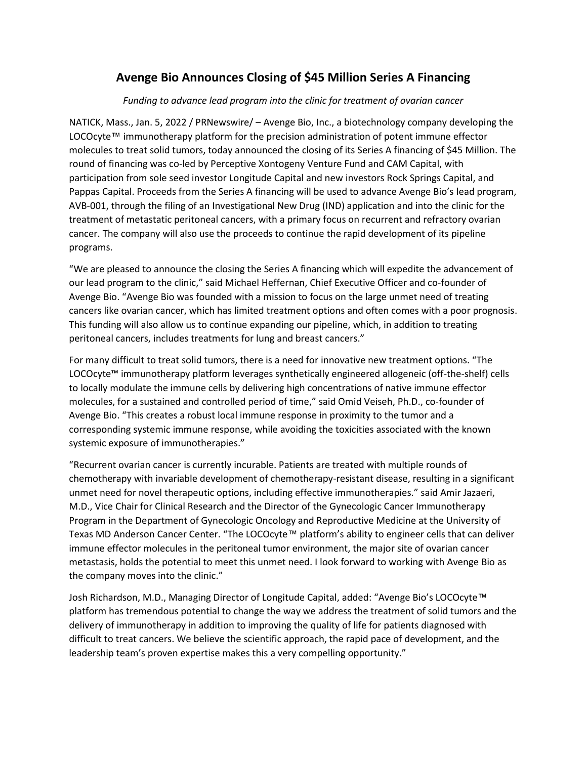## **Avenge Bio Announces Closing of \$45 Million Series A Financing**

## *Funding to advance lead program into the clinic for treatment of ovarian cancer*

NATICK, Mass., Jan. 5, 2022 / PRNewswire/ – Avenge Bio, Inc., a biotechnology company developing the LOCOcyte™ immunotherapy platform for the precision administration of potent immune effector molecules to treat solid tumors, today announced the closing of its Series A financing of \$45 Million. The round of financing was co-led by Perceptive Xontogeny Venture Fund and CAM Capital, with participation from sole seed investor Longitude Capital and new investors Rock Springs Capital, and Pappas Capital. Proceeds from the Series A financing will be used to advance Avenge Bio's lead program, AVB-001, through the filing of an Investigational New Drug (IND) application and into the clinic for the treatment of metastatic peritoneal cancers, with a primary focus on recurrent and refractory ovarian cancer. The company will also use the proceeds to continue the rapid development of its pipeline programs.

"We are pleased to announce the closing the Series A financing which will expedite the advancement of our lead program to the clinic," said Michael Heffernan, Chief Executive Officer and co-founder of Avenge Bio. "Avenge Bio was founded with a mission to focus on the large unmet need of treating cancers like ovarian cancer, which has limited treatment options and often comes with a poor prognosis. This funding will also allow us to continue expanding our pipeline, which, in addition to treating peritoneal cancers, includes treatments for lung and breast cancers."

For many difficult to treat solid tumors, there is a need for innovative new treatment options. "The LOCOcyte™ immunotherapy platform leverages synthetically engineered allogeneic (off-the-shelf) cells to locally modulate the immune cells by delivering high concentrations of native immune effector molecules, for a sustained and controlled period of time," said Omid Veiseh, Ph.D., co-founder of Avenge Bio. "This creates a robust local immune response in proximity to the tumor and a corresponding systemic immune response, while avoiding the toxicities associated with the known systemic exposure of immunotherapies."

"Recurrent ovarian cancer is currently incurable. Patients are treated with multiple rounds of chemotherapy with invariable development of chemotherapy-resistant disease, resulting in a significant unmet need for novel therapeutic options, including effective immunotherapies." said Amir Jazaeri, M.D., Vice Chair for Clinical Research and the Director of the Gynecologic Cancer Immunotherapy Program in the Department of Gynecologic Oncology and Reproductive Medicine at the University of Texas MD Anderson Cancer Center. "The LOCOcyte™ platform's ability to engineer cells that can deliver immune effector molecules in the peritoneal tumor environment, the major site of ovarian cancer metastasis, holds the potential to meet this unmet need. I look forward to working with Avenge Bio as the company moves into the clinic."

Josh Richardson, M.D., Managing Director of Longitude Capital, added: "Avenge Bio's LOCOcyte™ platform has tremendous potential to change the way we address the treatment of solid tumors and the delivery of immunotherapy in addition to improving the quality of life for patients diagnosed with difficult to treat cancers. We believe the scientific approach, the rapid pace of development, and the leadership team's proven expertise makes this a very compelling opportunity."